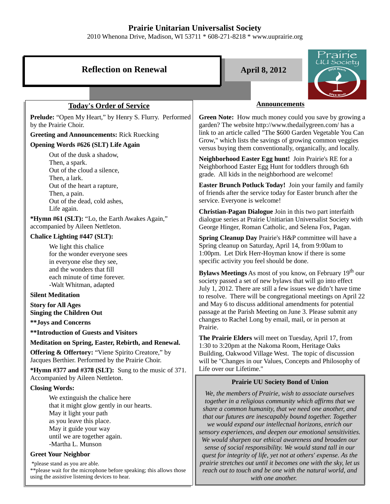# **Prairie Unitarian Universalist Society**

2010 Whenona Drive, Madison, WI 53711 \* 608-271-8218 \* www.uuprairie.org

| <b>Reflection on Renewal</b>                                                                                                                                                                                                                                                   | Prairie<br>.UU Socie <u>ty</u><br><b>April 8, 2012</b>                                                                                                                                                                                                                                                                                                                                                                                                                                                                                                                                                                           |
|--------------------------------------------------------------------------------------------------------------------------------------------------------------------------------------------------------------------------------------------------------------------------------|----------------------------------------------------------------------------------------------------------------------------------------------------------------------------------------------------------------------------------------------------------------------------------------------------------------------------------------------------------------------------------------------------------------------------------------------------------------------------------------------------------------------------------------------------------------------------------------------------------------------------------|
|                                                                                                                                                                                                                                                                                |                                                                                                                                                                                                                                                                                                                                                                                                                                                                                                                                                                                                                                  |
| <b>Today's Order of Service</b>                                                                                                                                                                                                                                                | <b>Announcements</b>                                                                                                                                                                                                                                                                                                                                                                                                                                                                                                                                                                                                             |
| Prelude: "Open My Heart," by Henry S. Flurry. Performed<br>by the Prairie Choir.<br><b>Greeting and Announcements: Rick Ruecking</b>                                                                                                                                           | Green Note: How much money could you save by growing a<br>garden? The website http://www.thedailygreen.com/ has a<br>link to an article called "The \$600 Garden Vegetable You Can<br>Grow," which lists the savings of growing common veggies                                                                                                                                                                                                                                                                                                                                                                                   |
| Opening Words #626 (SLT) Life Again                                                                                                                                                                                                                                            | versus buying them conventionally, organically, and locally.                                                                                                                                                                                                                                                                                                                                                                                                                                                                                                                                                                     |
| Out of the dusk a shadow,<br>Then, a spark.<br>Out of the cloud a silence,<br>Then, a lark.                                                                                                                                                                                    | Neighborhood Easter Egg hunt! Join Prairie's RE for a<br>Neighborhood Easter Egg Hunt for toddlers through 6th<br>grade. All kids in the neighborhood are welcome!                                                                                                                                                                                                                                                                                                                                                                                                                                                               |
| Out of the heart a rapture,<br>Then, a pain.<br>Out of the dead, cold ashes,                                                                                                                                                                                                   | Easter Brunch Potluck Today! Join your family and family<br>of friends after the service today for Easter brunch after the<br>service. Everyone is welcome!                                                                                                                                                                                                                                                                                                                                                                                                                                                                      |
| Life again.<br>*Hymn #61 (SLT): "Lo, the Earth Awakes Again,"<br>accompanied by Aileen Nettleton.                                                                                                                                                                              | Christian-Pagan Dialogue Join in this two part interfaith<br>dialogue series at Prairie Unitiarian Universalist Society with<br>George Hinger, Roman Catholic, and Selena Fox, Pagan.                                                                                                                                                                                                                                                                                                                                                                                                                                            |
| Chalice Lighting #447 (SLT):                                                                                                                                                                                                                                                   | Spring Cleanup Day Prairie's H&P committee will have a                                                                                                                                                                                                                                                                                                                                                                                                                                                                                                                                                                           |
| We light this chalice<br>for the wonder everyone sees<br>in everyone else they see,                                                                                                                                                                                            | Spring cleanup on Saturday, April 14, from 9:00am to<br>1:00pm. Let Dirk Herr-Hoyman know if there is some<br>specific activity you feel should be done.                                                                                                                                                                                                                                                                                                                                                                                                                                                                         |
| and the wonders that fill<br>each minute of time forever.<br>-Walt Whitman, adapted                                                                                                                                                                                            | Bylaws Meetings As most of you know, on February 19 <sup>th</sup> our<br>society passed a set of new bylaws that will go into effect<br>July 1, 2012. There are still a few issues we didn't have time                                                                                                                                                                                                                                                                                                                                                                                                                           |
| <b>Silent Meditation</b><br><b>Story for All Ages</b><br><b>Singing the Children Out</b>                                                                                                                                                                                       | to resolve. There will be congregational meetings on April 22<br>and May 6 to discuss additional amendments for potential<br>passage at the Parish Meeting on June 3. Please submit any                                                                                                                                                                                                                                                                                                                                                                                                                                          |
| ** Joys and Concerns                                                                                                                                                                                                                                                           | changes to Rachel Long by email, mail, or in person at<br>Prairie.                                                                                                                                                                                                                                                                                                                                                                                                                                                                                                                                                               |
| <b>**Introduction of Guests and Visitors</b>                                                                                                                                                                                                                                   | The Prairie Elders will meet on Tuesday, April 17, from                                                                                                                                                                                                                                                                                                                                                                                                                                                                                                                                                                          |
| Meditation on Spring, Easter, Rebirth, and Renewal.<br><b>Offering &amp; Offertory:</b> "Viene Spirito Creatore," by<br>Jacques Berthier. Performed by the Prairie Choir.<br>*Hymn #377 and #378 (SLT): Sung to the music of $371$ .                                           | 1:30 to 3:20pm at the Nakoma Room, Heritage Oaks<br>Building, Oakwood Village West. The topic of discussion<br>will be "Changes in our Values, Concepts and Philosophy of<br>Life over our Lifetime."                                                                                                                                                                                                                                                                                                                                                                                                                            |
| Accompanied by Aileen Nettleton.<br><b>Closing Words:</b>                                                                                                                                                                                                                      | <b>Prairie UU Society Bond of Union</b>                                                                                                                                                                                                                                                                                                                                                                                                                                                                                                                                                                                          |
| We extinguish the chalice here<br>that it might glow gently in our hearts.<br>May it light your path<br>as you leave this place.<br>May it guide your way<br>until we are together again.<br>-Martha L. Munson<br><b>Greet Your Neighbor</b><br>*please stand as you are able. | We, the members of Prairie, wish to associate ourselves<br>together in a religious community which affirms that we<br>share a common humanity, that we need one another, and<br>that our futures are inescapably bound together. Together<br>we would expand our intellectual horizons, enrich our<br>sensory experiences, and deepen our emotional sensitivities.<br>We would sharpen our ethical awareness and broaden our<br>sense of social responsibility. We would stand tall in our<br>quest for integrity of life, yet not at others' expense. As the<br>prairie stretches out until it becomes one with the sky, let us |
| ** please wait for the microphone before speaking; this allows those<br>using the assistive listening devices to hear.                                                                                                                                                         | reach out to touch and be one with the natural world, and<br>with one another.                                                                                                                                                                                                                                                                                                                                                                                                                                                                                                                                                   |